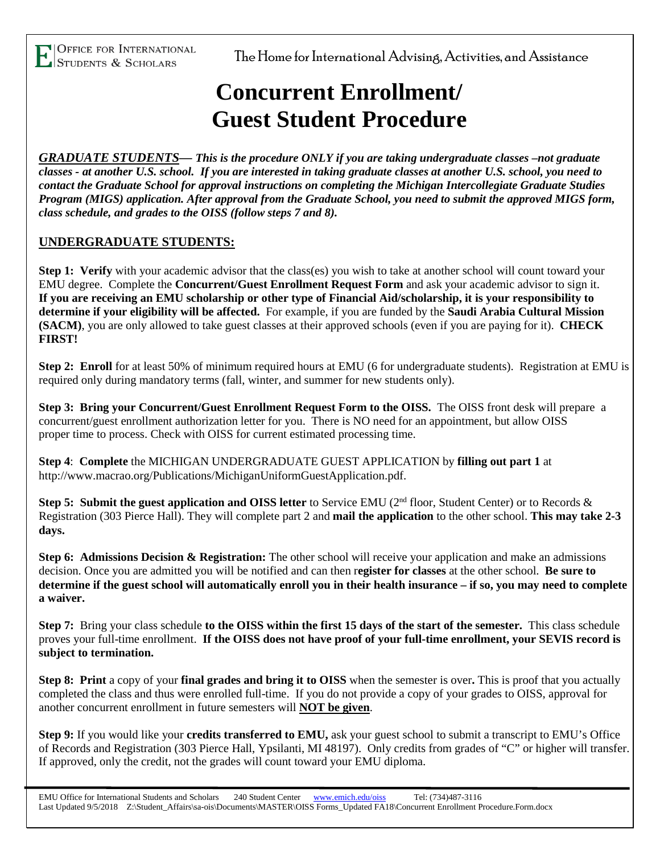l

OFFICE FOR INTERNATIONAL<br>STUDENTS & SCHOLARS<br>The Home for International Advising, Activities, and Assistance

## **Concurrent Enrollment/ Guest Student Procedure**

*GRADUATE STUDENTS— This is the procedure ONLY if you are taking undergraduate classes –not graduate classes - at another U.S. school. If you are interested in taking graduate classes at another U.S. school, you need to contact the Graduate School for approval instructions on completing the Michigan Intercollegiate Graduate Studies Program (MIGS) application. After approval from the Graduate School, you need to submit the approved MIGS form, class schedule, and grades to the OISS (follow steps 7 and 8).*

## **UNDERGRADUATE STUDENTS:**

**Step 1: Verify** with your academic advisor that the class(es) you wish to take at another school will count toward your EMU degree. Complete the **Concurrent/Guest Enrollment Request Form** and ask your academic advisor to sign it. **If you are receiving an EMU scholarship or other type of Financial Aid/scholarship, it is your responsibility to determine if your eligibility will be affected.** For example, if you are funded by the **Saudi Arabia Cultural Mission (SACM)**, you are only allowed to take guest classes at their approved schools (even if you are paying for it). **CHECK FIRST!**

**Step 2: Enroll** for at least 50% of minimum required hours at EMU (6 for undergraduate students). Registration at EMU is required only during mandatory terms (fall, winter, and summer for new students only).

**Step 3: Bring your Concurrent/Guest Enrollment Request Form to the OISS.** The OISS front desk will prepare a concurrent/guest enrollment authorization letter for you. There is NO need for an appointment, but allow OISS proper time to process. Check with OISS for current estimated processing time.

**Step 4**: **Complete** the MICHIGAN UNDERGRADUATE GUEST APPLICATION by **filling out part 1** at http://www.macrao.org/Publications/MichiganUniformGuestApplication.pdf.

**Step 5:** Submit the guest application and OISS letter to Service EMU (2<sup>nd</sup> floor, Student Center) or to Records & Registration (303 Pierce Hall). They will complete part 2 and **mail the application** to the other school. **This may take 2-3 days.**

**Step 6: Admissions Decision & Registration:** The other school will receive your application and make an admissions decision. Once you are admitted you will be notified and can then r**egister for classes** at the other school. **Be sure to determine if the guest school will automatically enroll you in their health insurance – if so, you may need to complete a waiver.**

**Step 7:** Bring your class schedule **to the OISS within the first 15 days of the start of the semester.** This class schedule proves your full-time enrollment. **If the OISS does not have proof of your full-time enrollment, your SEVIS record is subject to termination.**

**Step 8: Print** a copy of your **final grades and bring it to OISS** when the semester is over**.** This is proof that you actually completed the class and thus were enrolled full-time. If you do not provide a copy of your grades to OISS, approval for another concurrent enrollment in future semesters will **NOT be given**.

**Step 9:** If you would like your **credits transferred to EMU,** ask your guest school to submit a transcript to EMU's Office of Records and Registration (303 Pierce Hall, Ypsilanti, MI 48197). Only credits from grades of "C" or higher will transfer. If approved, only the credit, not the grades will count toward your EMU diploma.